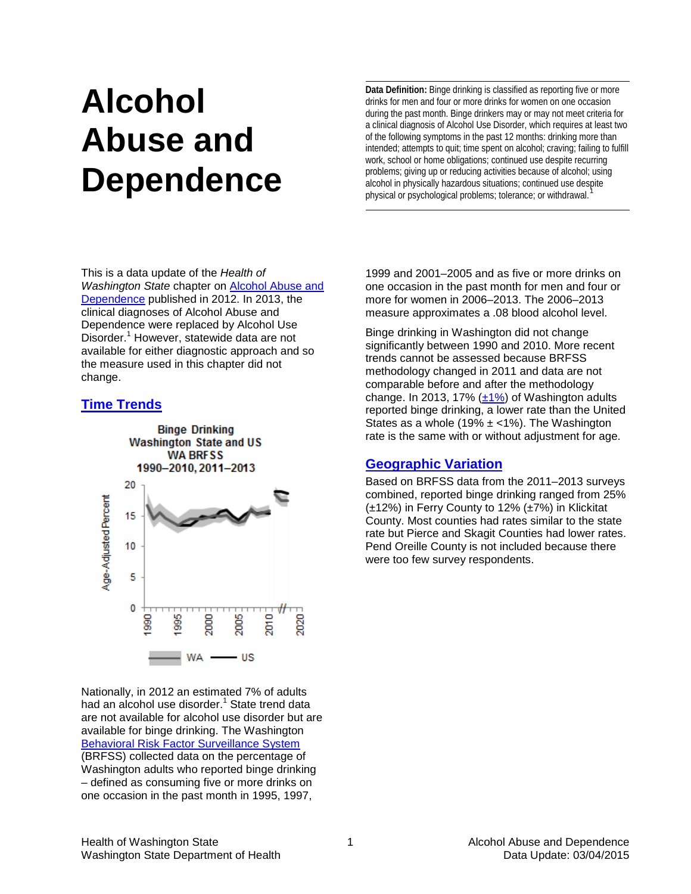# **Alcohol Abuse and Dependence**

**Data Definition:** Binge drinking is classified as reporting five or more drinks for men and four or more drinks for women on one occasion during the past month. Binge drinkers may or may not meet criteria for a clinical diagnosis of Alcohol Use Disorder, which requires at least two of the following symptoms in the past 12 months: drinking more than intended; attempts to quit; time spent on alcohol; craving; failing to fulfill work, school or home obligations; continued use despite recurring problems; giving up or reducing activities because of alcohol; using alcohol in physically hazardous situations; continued use despite physical or psychological problems; tolerance; or withdrawal.<sup>[1](#page-2-0)</sup>

This is a data update of the *Health of Washington State* chapter on [Alcohol Abuse and](http://www.doh.wa.gov/Portals/1/Documents/5500/RPF-Alc2012.pdf)  [Dependence](http://www.doh.wa.gov/Portals/1/Documents/5500/RPF-Alc2012.pdf) published in 2012. In 2013, the clinical diagnoses of Alcohol Abuse and Dependence were replaced by Alcohol Use Disorder.<sup>1</sup> However, statewide data are not available for either diagnostic approach and so the measure used in this chapter did not change.

# **[Time Trends](http://www.doh.wa.gov/Portals/1/Documents/5500/AppA.pdf)**



Nationally, in 2012 an estimated 7% of adults had an alcohol use disorder[.](#page-0-0)<sup>1</sup> State trend data are not available for alcohol use disorder but are available for binge drinking. The Washington [Behavioral Risk Factor Surveillance System](http://www.doh.wa.gov/Portals/1/Documents/5500/AppB.pdf) (BRFSS) collected data on the percentage of Washington adults who reported binge drinking – defined as consuming five or more drinks on one occasion in the past month in 1995, 1997,

<span id="page-0-0"></span>1999 and 2001–2005 and as five or more drinks on one occasion in the past month for men and four or more for women in 2006–2013. The 2006–2013 measure approximates a .08 blood alcohol level.

Binge drinking in Washington did not change significantly between 1990 and 2010. More recent trends cannot be assessed because BRFSS methodology changed in 2011 and data are not comparable before and after the methodology change. In 2013, 17%  $(\pm 1\%)$  of Washington adults reported binge drinking, a lower rate than the United States as a whole (19%  $\pm$  <1%). The Washington rate is the same with or without adjustment for age.

# **[Geographic Variation](http://www.doh.wa.gov/Portals/1/Documents/5500/AppA.pdf)**

Based on BRFSS data from the 2011–2013 surveys combined, reported binge drinking ranged from 25% (±12%) in Ferry County to 12% (±7%) in Klickitat County. Most counties had rates similar to the state rate but Pierce and Skagit Counties had lower rates. Pend Oreille County is not included because there were too few survey respondents.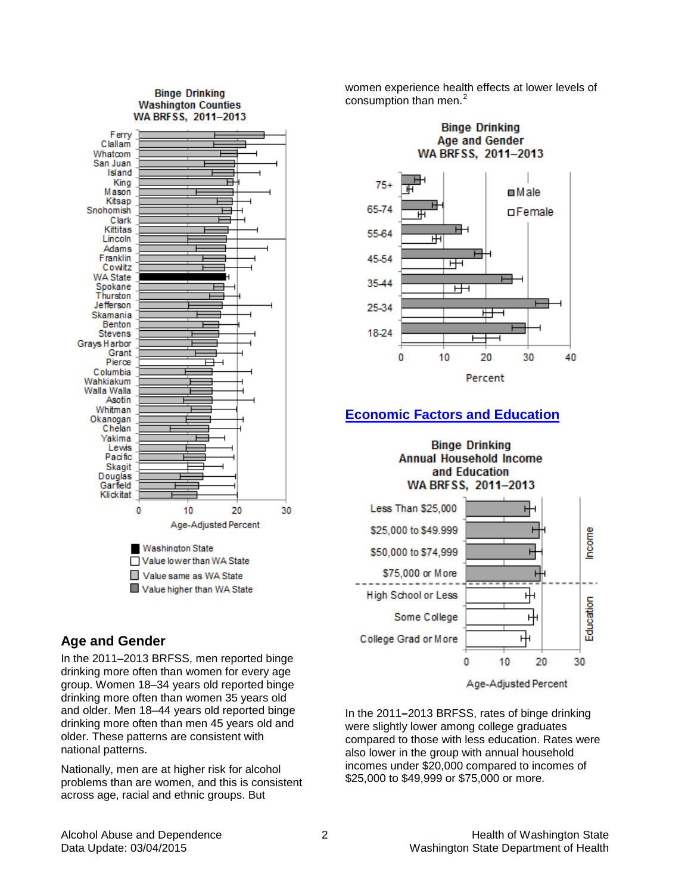#### **Binge Drinking Washington Counties** WA BRFSS. 2011-2013



# **Age and Gender**

In the 2011–2013 BRFSS, men reported binge drinking more often than women for every age group. Women 18–34 years old reported binge drinking more often than women 35 years old and older. Men 18–44 years old reported binge drinking more often than men 45 years old and older. These patterns are consistent with national patterns.

Nationally, men are at higher risk for alcohol problems than are women, and this is consistent across age, racial and ethnic groups. But

women experience health effects at lower levels of consumption than men.<sup>[2](#page-2-1)</sup>



# **[Economic Factors and Education](http://www.doh.wa.gov/Portals/1/Documents/5500/AppA.pdf)**

**Binge Drinking Annual Household Income** and Education WA BRFSS, 2011-2013



Age-Adjusted Percent

In the 2011**–**2013 BRFSS, rates of binge drinking were slightly lower among college graduates compared to those with less education. Rates were also lower in the group with annual household incomes under \$20,000 compared to incomes of \$25,000 to \$49,999 or \$75,000 or more.